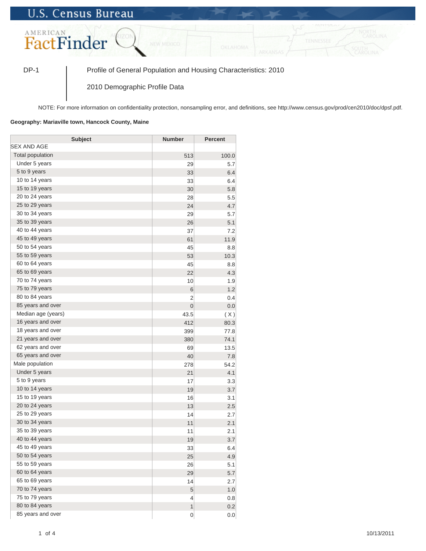## **U.S. Census Bureau**



DP-1 Profile of General Population and Housing Characteristics: 2010

2010 Demographic Profile Data

NOTE: For more information on confidentiality protection, nonsampling error, and definitions, see http://www.census.gov/prod/cen2010/doc/dpsf.pdf.

## **Geography: Mariaville town, Hancock County, Maine**

| <b>Subject</b>     | <b>Number</b>   | <b>Percent</b> |
|--------------------|-----------------|----------------|
| SEX AND AGE        |                 |                |
| Total population   | 513             | 100.0          |
| Under 5 years      | 29              | 5.7            |
| 5 to 9 years       | 33              | 6.4            |
| 10 to 14 years     | 33              | 6.4            |
| 15 to 19 years     | 30              | 5.8            |
| 20 to 24 years     | 28              | 5.5            |
| 25 to 29 years     | 24              | 4.7            |
| 30 to 34 years     | 29              | 5.7            |
| 35 to 39 years     | 26              | 5.1            |
| 40 to 44 years     | 37              | 7.2            |
| 45 to 49 years     | 61              | 11.9           |
| 50 to 54 years     | 45              | 8.8            |
| 55 to 59 years     | 53              | 10.3           |
| 60 to 64 years     | 45              | 8.8            |
| 65 to 69 years     | 22              | 4.3            |
| 70 to 74 years     | 10              | 1.9            |
| 75 to 79 years     | $6\phantom{1}6$ | 1.2            |
| 80 to 84 years     | $\overline{2}$  | 0.4            |
| 85 years and over  | $\mathbf 0$     | 0.0            |
| Median age (years) | 43.5            | (X)            |
| 16 years and over  | 412             | 80.3           |
| 18 years and over  | 399             | 77.8           |
| 21 years and over  | 380             | 74.1           |
| 62 years and over  | 69              | 13.5           |
| 65 years and over  | 40              | 7.8            |
| Male population    | 278             | 54.2           |
| Under 5 years      | 21              | 4.1            |
| 5 to 9 years       | 17              | 3.3            |
| 10 to 14 years     | 19              | 3.7            |
| 15 to 19 years     | 16              | 3.1            |
| 20 to 24 years     | 13              | 2.5            |
| 25 to 29 years     | 14              | 2.7            |
| 30 to 34 years     | 11              | 2.1            |
| 35 to 39 years     | 11              | 2.1            |
| 40 to 44 years     | 19              | 3.7            |
| 45 to 49 years     | 33              | 6.4            |
| 50 to 54 years     | 25              | 4.9            |
| 55 to 59 years     | 26              | 5.1            |
| 60 to 64 years     | 29              | 5.7            |
| 65 to 69 years     | 14              | 2.7            |
| 70 to 74 years     | 5               | 1.0            |
| 75 to 79 years     | $\overline{4}$  | 0.8            |
| 80 to 84 years     | $\mathbf{1}$    | 0.2            |
| 85 years and over  | $\mathbf 0$     | 0.0            |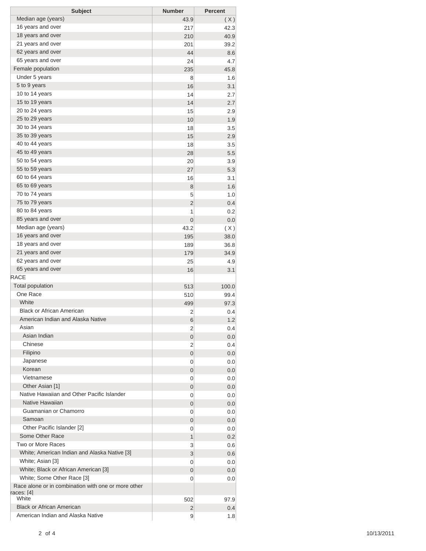| <b>Subject</b>                                      | <b>Number</b>  | <b>Percent</b> |
|-----------------------------------------------------|----------------|----------------|
| Median age (years)                                  | 43.9           | (X)            |
| 16 years and over                                   | 217            | 42.3           |
| 18 years and over                                   | 210            | 40.9           |
| 21 years and over                                   | 201            | 39.2           |
| 62 years and over                                   | 44             | 8.6            |
| 65 years and over                                   | 24             | 4.7            |
| Female population                                   | 235            | 45.8           |
| Under 5 years                                       | 8              | 1.6            |
| 5 to 9 years                                        | 16             | 3.1            |
| 10 to 14 years                                      | 14             | 2.7            |
| 15 to 19 years                                      | 14             | 2.7            |
| 20 to 24 years                                      | 15             | 2.9            |
| 25 to 29 years                                      | 10             | 1.9            |
| 30 to 34 years                                      | 18             | 3.5            |
| 35 to 39 years                                      | 15             | 2.9            |
| 40 to 44 years                                      | 18             | 3.5            |
| 45 to 49 years                                      | 28             | 5.5            |
| 50 to 54 years                                      | 20             | 3.9            |
| 55 to 59 years                                      | 27             | 5.3            |
| 60 to 64 years                                      | 16             | 3.1            |
| 65 to 69 years                                      | 8              | 1.6            |
| 70 to 74 years                                      | 5              | 1.0            |
| 75 to 79 years                                      | $\overline{2}$ | 0.4            |
| 80 to 84 years                                      | 1              | 0.2            |
| 85 years and over                                   | $\mathbf 0$    | 0.0            |
| Median age (years)                                  | 43.2           | (X)            |
| 16 years and over                                   | 195            | 38.0           |
| 18 years and over                                   | 189            | 36.8           |
| 21 years and over                                   | 179            | 34.9           |
| 62 years and over                                   | 25             | 4.9            |
| 65 years and over                                   | 16             | 3.1            |
| <b>RACE</b>                                         |                |                |
| <b>Total population</b>                             | 513            | 100.0          |
| One Race                                            | 510            | 99.4           |
| White                                               | 499            | 97.3           |
| <b>Black or African American</b>                    | 2              | 0.4            |
| American Indian and Alaska Native                   | 6              | 1.2            |
| Asian                                               | 2              | 0.4            |
| Asian Indian                                        | 0              | 0.0            |
| Chinese                                             | 2              | 0.4            |
| Filipino                                            | 0              | 0.0            |
| Japanese<br>Korean                                  | 0              | 0.0            |
| Vietnamese                                          | 0              | 0.0            |
| Other Asian [1]                                     | 0              | 0.0            |
| Native Hawaiian and Other Pacific Islander          | 0              | 0.0            |
| Native Hawaiian                                     | 0              | 0.0            |
| Guamanian or Chamorro                               | 0<br>0         | 0.0<br>0.0     |
| Samoan                                              | 0              | 0.0            |
| Other Pacific Islander [2]                          | 0              | 0.0            |
| Some Other Race                                     | 1              | 0.2            |
| Two or More Races                                   | 3              | 0.6            |
| White; American Indian and Alaska Native [3]        | 3              | 0.6            |
| White; Asian [3]                                    | 0              | 0.0            |
| White; Black or African American [3]                | 0              | 0.0            |
| White; Some Other Race [3]                          | 0              | 0.0            |
| Race alone or in combination with one or more other |                |                |
| races: [4]                                          |                |                |
| White                                               | 502            | 97.9           |
| <b>Black or African American</b>                    | $\overline{2}$ | 0.4            |
| American Indian and Alaska Native                   | 9              | 1.8            |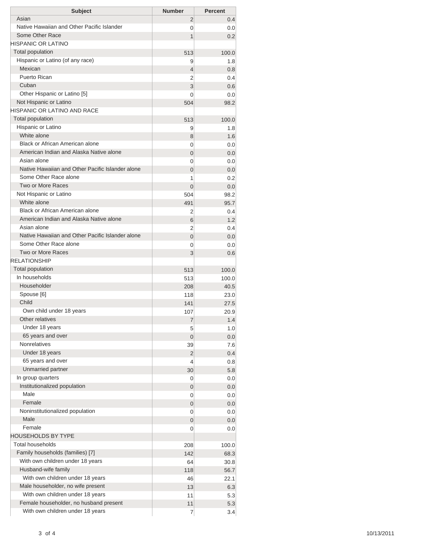| <b>Subject</b>                                   | <b>Number</b>  | <b>Percent</b> |
|--------------------------------------------------|----------------|----------------|
| Asian                                            | 2              | 0.4            |
| Native Hawaiian and Other Pacific Islander       | 0              | 0.0            |
| Some Other Race                                  | 1              | 0.2            |
| HISPANIC OR LATINO                               |                |                |
| <b>Total population</b>                          | 513            | 100.0          |
| Hispanic or Latino (of any race)                 | 9              | 1.8            |
| Mexican                                          | 4              | 0.8            |
| Puerto Rican                                     | 2              | 0.4            |
| Cuban                                            | 3              | 0.6            |
| Other Hispanic or Latino [5]                     | 0              | 0.0            |
| Not Hispanic or Latino                           | 504            | 98.2           |
| <b>HISPANIC OR LATINO AND RACE</b>               |                |                |
| <b>Total population</b>                          | 513            | 100.0          |
| Hispanic or Latino                               | 9              | 1.8            |
| White alone                                      | 8              | 1.6            |
| Black or African American alone                  | 0              | 0.0            |
| American Indian and Alaska Native alone          | $\overline{0}$ | 0.0            |
| Asian alone                                      | 0              | 0.0            |
| Native Hawaiian and Other Pacific Islander alone | $\overline{0}$ | 0.0            |
| Some Other Race alone                            | 1              | 0.2            |
| Two or More Races                                | $\Omega$       | 0.0            |
| Not Hispanic or Latino                           | 504            | 98.2           |
| White alone<br>Black or African American alone   | 491            | 95.7           |
| American Indian and Alaska Native alone          | 2              | 0.4            |
| Asian alone                                      | 6              | 1.2            |
| Native Hawaiian and Other Pacific Islander alone | 2              | 0.4            |
| Some Other Race alone                            | $\overline{0}$ | 0.0            |
| Two or More Races                                | 0              | 0.0            |
| <b>RELATIONSHIP</b>                              | 3              | 0.6            |
| Total population                                 |                |                |
| In households                                    | 513<br>513     | 100.0<br>100.0 |
| Householder                                      |                | 40.5           |
| Spouse [6]                                       | 208<br>118     | 23.0           |
| Child                                            | 141            | 27.5           |
| Own child under 18 years                         | 107            | 20.9           |
| Other relatives                                  | 7              | 1.4            |
| Under 18 years                                   | 5              | 1.0            |
| 65 years and over                                | 0              | 0.0            |
| <b>Nonrelatives</b>                              | 39             | 7.6            |
| Under 18 years                                   | 2              | 0.4            |
| 65 years and over                                | 4              | 0.8            |
| Unmarried partner                                | 30             | 5.8            |
| In group quarters                                | 0              | 0.0            |
| Institutionalized population                     | 0              | 0.0            |
| Male                                             | 0              | 0.0            |
| Female                                           | 0              | 0.0            |
| Noninstitutionalized population                  | 0              | 0.0            |
| Male                                             | 0              | 0.0            |
| Female                                           | 0              | 0.0            |
| <b>HOUSEHOLDS BY TYPE</b>                        |                |                |
| <b>Total households</b>                          | 208            | 100.0          |
| Family households (families) [7]                 | 142            | 68.3           |
| With own children under 18 years                 | 64             | 30.8           |
| Husband-wife family                              | 118            | 56.7           |
| With own children under 18 years                 | 46             | 22.1           |
| Male householder, no wife present                | 13             | 6.3            |
| With own children under 18 years                 | 11             | 5.3            |
| Female householder, no husband present           | 11             | 5.3            |
| With own children under 18 years                 | 7              | 3.4            |